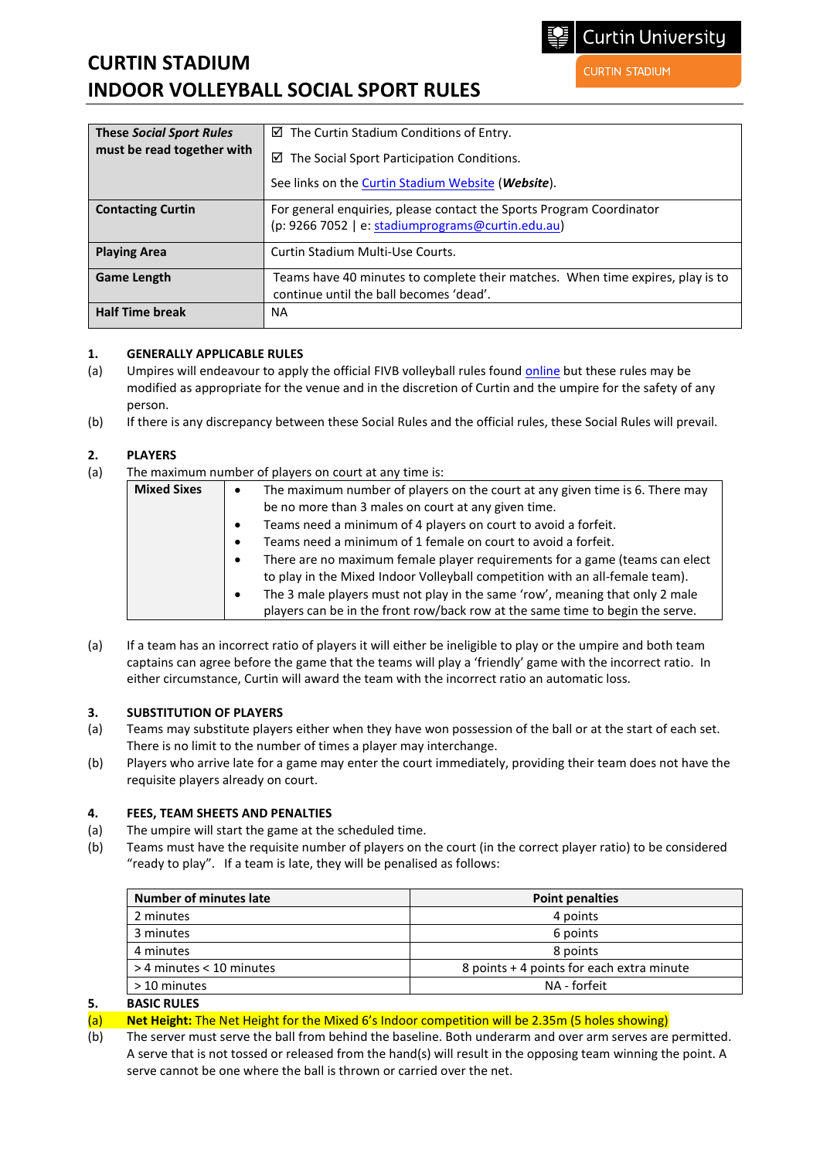# **CURTIN STADIUM INDOOR VOLLEYBALL SOCIAL SPORT RULES**

| <b>These Social Sport Rules</b> | $\boxtimes$ The Curtin Stadium Conditions of Entry.                            |
|---------------------------------|--------------------------------------------------------------------------------|
| must be read together with      | $\boxtimes$ The Social Sport Participation Conditions.                         |
|                                 | See links on the Curtin Stadium Website ( <i>Website</i> ).                    |
| <b>Contacting Curtin</b>        | For general enquiries, please contact the Sports Program Coordinator           |
|                                 | (p: 9266 7052   e: stadiumprograms@curtin.edu.au)                              |
| <b>Playing Area</b>             | Curtin Stadium Multi-Use Courts.                                               |
| <b>Game Length</b>              | Teams have 40 minutes to complete their matches. When time expires, play is to |
|                                 | continue until the ball becomes 'dead'.                                        |
| <b>Half Time break</b>          | NA.                                                                            |

# **1. GENERALLY APPLICABLE RULES**

- (a) Umpires will endeavour to apply the official FIVB volleyball rules foun[d online](http://www.fivb.org/en/refereeing-rules/rulesofthegame_vb.asp) but these rules may be modified as appropriate for the venue and in the discretion of Curtin and the umpire for the safety of any person.
- (b) If there is any discrepancy between these Social Rules and the official rules, these Social Rules will prevail.

# **2. PLAYERS**

(a) The maximum number of players on court at any time is:

| <b>Mixed Sixes</b> | The maximum number of players on the court at any given time is 6. There may                                                                                               |
|--------------------|----------------------------------------------------------------------------------------------------------------------------------------------------------------------------|
|                    | be no more than 3 males on court at any given time.                                                                                                                        |
|                    | Teams need a minimum of 4 players on court to avoid a forfeit.<br>$\bullet$                                                                                                |
|                    | Teams need a minimum of 1 female on court to avoid a forfeit.<br>$\bullet$                                                                                                 |
|                    | There are no maximum female player requirements for a game (teams can elect<br>$\bullet$<br>to play in the Mixed Indoor Volleyball competition with an all-female team).   |
|                    | The 3 male players must not play in the same 'row', meaning that only 2 male<br>$\bullet$<br>players can be in the front row/back row at the same time to begin the serve. |

(a) If a team has an incorrect ratio of players it will either be ineligible to play or the umpire and both team captains can agree before the game that the teams will play a 'friendly' game with the incorrect ratio. In either circumstance, Curtin will award the team with the incorrect ratio an automatic loss.

### **3. SUBSTITUTION OF PLAYERS**

- (a) Teams may substitute players either when they have won possession of the ball or at the start of each set. There is no limit to the number of times a player may interchange.
- (b) Players who arrive late for a game may enter the court immediately, providing their team does not have the requisite players already on court.

### **4. FEES, TEAM SHEETS AND PENALTIES**

- (a) The umpire will start the game at the scheduled time.
- (b) Teams must have the requisite number of players on the court (in the correct player ratio) to be considered "ready to play". If a team is late, they will be penalised as follows:

| 4 points<br>6 points                      |
|-------------------------------------------|
|                                           |
|                                           |
| 8 points                                  |
| 8 points + 4 points for each extra minute |
| NA - forfeit                              |
|                                           |

### **5. BASIC RULES**

- (a) **Net Height:** The Net Height for the Mixed 6's Indoor competition will be 2.35m (5 holes showing)
- (b) The server must serve the ball from behind the baseline. Both underarm and over arm serves are permitted. A serve that is not tossed or released from the hand(s) will result in the opposing team winning the point. A serve cannot be one where the ball is thrown or carried over the net.

**CURTIN STADIUM**